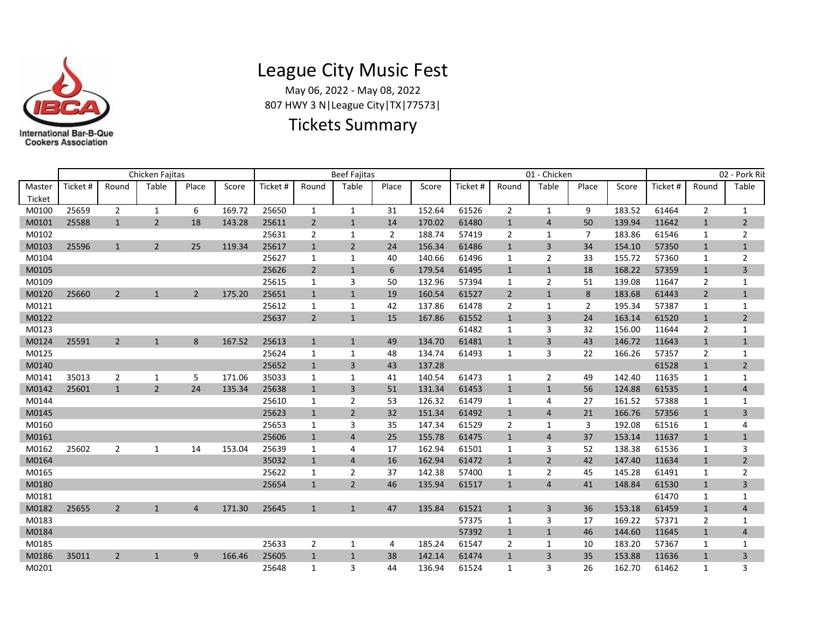

## League City Music Fest

May 06, 2022 - May 08, 2022 807 HWY 3 N|League City|TX|77573|

## Tickets Summary

|                  | Chicken Faiitas |                |                |                |        |         |                | <b>Beef Fajitas</b> |                |        | 01 - Chicken |                |                |                | 02 - Pork Rik |          |                |                |
|------------------|-----------------|----------------|----------------|----------------|--------|---------|----------------|---------------------|----------------|--------|--------------|----------------|----------------|----------------|---------------|----------|----------------|----------------|
| Master<br>Ticket | Ticket #        | Round          | Table          | Place          | Score  | Ticket# | Round          | Table               | Place          | Score  | Ticket #     | Round          | Table          | Place          | Score         | Ticket # | Round          | Table          |
| M0100            | 25659           | $\overline{2}$ | $\mathbf{1}$   | 6              | 169.72 | 25650   | $\mathbf{1}$   | $\mathbf{1}$        | 31             | 152.64 | 61526        | $\overline{2}$ | 1              | 9              | 183.52        | 61464    | $\overline{2}$ | $\mathbf{1}$   |
| M0101            | 25588           | $\mathbf{1}$   | $\overline{2}$ | 18             | 143.28 | 25611   | $\overline{2}$ | $\mathbf{1}$        | 14             | 170.02 | 61480        | $\mathbf{1}$   | $\overline{4}$ | 50             | 139.94        | 11642    | $\mathbf{1}$   | $\overline{2}$ |
| M0102            |                 |                |                |                |        | 25631   | $\overline{2}$ | 1                   | $\overline{2}$ | 188.74 | 57419        | $\overline{2}$ | 1              | $\overline{7}$ | 183.86        | 61546    | 1              | $\overline{2}$ |
| M0103            | 25596           | 1              | $\overline{2}$ | 25             | 119.34 | 25617   | $\mathbf{1}$   | $\overline{2}$      | 24             | 156.34 | 61486        | 1              | $\overline{3}$ | 34             | 154.10        | 57350    | $\mathbf{1}$   | $\mathbf{1}$   |
| M0104            |                 |                |                |                |        | 25627   | 1              | 1                   | 40             | 140.66 | 61496        | 1              | $\overline{2}$ | 33             | 155.72        | 57360    | 1              | 2              |
| M0105            |                 |                |                |                |        | 25626   | $\overline{2}$ | 1                   | 6              | 179.54 | 61495        | 1              | $\mathbf{1}$   | 18             | 168.22        | 57359    | $\mathbf{1}$   | 3              |
| M0109            |                 |                |                |                |        | 25615   | $\mathbf{1}$   | 3                   | 50             | 132.96 | 57394        | 1              | $\overline{2}$ | 51             | 139.08        | 11647    | $\overline{2}$ | $\mathbf{1}$   |
| M0120            | 25660           | $\overline{2}$ | $\mathbf{1}$   | $\overline{2}$ | 175.20 | 25651   | $\mathbf{1}$   | $\mathbf{1}$        | 19             | 160.54 | 61527        | $\overline{2}$ | $\mathbf{1}$   | 8              | 183.68        | 61443    | $\overline{2}$ | $\mathbf{1}$   |
| M0121            |                 |                |                |                |        | 25612   | 1              | 1                   | 42             | 137.86 | 61478        | $\overline{2}$ | $\mathbf{1}$   | 2              | 195.34        | 57387    | 1              | 1              |
| M0122            |                 |                |                |                |        | 25637   | $\overline{2}$ | $\mathbf{1}$        | 15             | 167.86 | 61552        | $\mathbf{1}$   | $\overline{3}$ | 24             | 163.14        | 61520    | $\mathbf{1}$   | $\overline{2}$ |
| M0123            |                 |                |                |                |        |         |                |                     |                |        | 61482        | 1              | 3              | 32             | 156.00        | 11644    | $\overline{2}$ | 1              |
| M0124            | 25591           | $\overline{2}$ | $\mathbf{1}$   | 8              | 167.52 | 25613   | $\mathbf{1}$   | $\mathbf{1}$        | 49             | 134.70 | 61481        | 1              | $\overline{3}$ | 43             | 146.72        | 11643    | $\mathbf{1}$   | $\mathbf{1}$   |
| M0125            |                 |                |                |                |        | 25624   | 1              | $\mathbf{1}$        | 48             | 134.74 | 61493        | 1              | 3              | 22             | 166.26        | 57357    | $\overline{2}$ | 1              |
| M0140            |                 |                |                |                |        | 25652   | $\mathbf{1}$   | 3                   | 43             | 137.28 |              |                |                |                |               | 61528    | $\mathbf{1}$   | $\overline{2}$ |
| M0141            | 35013           | 2              | 1              | 5              | 171.06 | 35033   | 1              | 1                   | 41             | 140.54 | 61473        | 1              | $\overline{2}$ | 49             | 142.40        | 11635    | 1              | $\mathbf{1}$   |
| M0142            | 25601           | $\mathbf{1}$   | $\overline{2}$ | 24             | 135.34 | 25638   | $\mathbf{1}$   | $\overline{3}$      | 51             | 131.34 | 61453        | $\mathbf{1}$   | $\mathbf{1}$   | 56             | 124.88        | 61535    | $\mathbf{1}$   | 4              |
| M0144            |                 |                |                |                |        | 25610   | 1              | 2                   | 53             | 126.32 | 61479        | 1              | 4              | 27             | 161.52        | 57388    | 1              | 1              |
| M0145            |                 |                |                |                |        | 25623   | $\mathbf{1}$   | 2                   | 32             | 151.34 | 61492        | 1              | $\overline{4}$ | 21             | 166.76        | 57356    | $\mathbf{1}$   | 3              |
| M0160            |                 |                |                |                |        | 25653   | 1              | 3                   | 35             | 147.34 | 61529        | $\overline{2}$ | 1              | 3              | 192.08        | 61516    | 1              | 4              |
| M0161            |                 |                |                |                |        | 25606   | $\mathbf{1}$   | $\overline{4}$      | 25             | 155.78 | 61475        | $\mathbf{1}$   | $\overline{4}$ | 37             | 153.14        | 11637    | $\mathbf{1}$   | $\mathbf{1}$   |
| M0162            | 25602           | 2              | 1              | 14             | 153.04 | 25639   | 1              | 4                   | 17             | 162.94 | 61501        | 1              | 3              | 52             | 138.38        | 61536    | 1              | 3              |
| M0164            |                 |                |                |                |        | 35032   | $\mathbf{1}$   | $\overline{4}$      | 16             | 162.94 | 61472        | 1              | $\overline{2}$ | 42             | 147.40        | 11634    | $\mathbf{1}$   | $\overline{2}$ |
| M0165            |                 |                |                |                |        | 25622   | 1              | $\overline{2}$      | 37             | 142.38 | 57400        | 1              | $\overline{2}$ | 45             | 145.28        | 61491    | 1              | $\overline{2}$ |
| M0180            |                 |                |                |                |        | 25654   | $\mathbf{1}$   | $\overline{2}$      | 46             | 135.94 | 61517        | $\mathbf{1}$   | $\overline{4}$ | 41             | 148.84        | 61530    | $\mathbf{1}$   | 3              |
| M0181            |                 |                |                |                |        |         |                |                     |                |        |              |                |                |                |               | 61470    | 1              | 1              |
| M0182            | 25655           | $\overline{2}$ | $\mathbf{1}$   | $\overline{4}$ | 171.30 | 25645   | $\mathbf{1}$   | $\mathbf{1}$        | 47             | 135.84 | 61521        | $\mathbf{1}$   | $\overline{3}$ | 36             | 153.18        | 61459    | $\mathbf{1}$   | $\overline{4}$ |
| M0183            |                 |                |                |                |        |         |                |                     |                |        | 57375        | 1              | 3              | 17             | 169.22        | 57371    | 2              | 1              |
| M0184            |                 |                |                |                |        |         |                |                     |                |        | 57392        | $\mathbf{1}$   | $\mathbf{1}$   | 46             | 144.60        | 11645    | $\mathbf{1}$   | 4              |
| M0185            |                 |                |                |                |        | 25633   | 2              | 1                   | 4              | 185.24 | 61547        | 2              | 1              | 10             | 183.20        | 57367    | 1              | 1              |
| M0186            | 35011           | $\overline{2}$ | $\mathbf{1}$   | 9              | 166.46 | 25605   | $\mathbf{1}$   | $\mathbf{1}$        | 38             | 142.14 | 61474        | 1              | 3              | 35             | 153.88        | 11636    | $\mathbf{1}$   | 3              |
| M0201            |                 |                |                |                |        | 25648   | $\mathbf{1}$   | 3                   | 44             | 136.94 | 61524        | 1              | 3              | 26             | 162.70        | 61462    | 1              | 3              |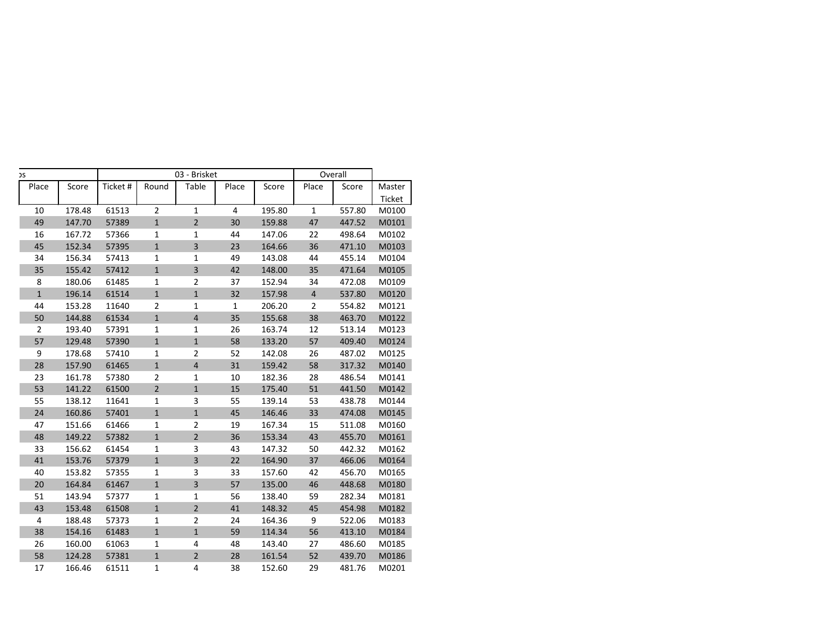|                 | Overall        |        | 03 - Brisket | C                       |                |          |        |                |
|-----------------|----------------|--------|--------------|-------------------------|----------------|----------|--------|----------------|
| Master          | Place<br>Score | Score  | Place        | Table                   | Round          | Ticket # | Score  | Place          |
| Ticket          |                |        |              |                         |                |          |        |                |
| 557.80<br>M0100 | $\mathbf{1}$   | 195.80 | 4            | $\mathbf{1}$            | $\overline{2}$ | 61513    | 178.48 | 10             |
| 447.52<br>M0101 | 47             | 159.88 | 30           | $\overline{2}$          | $\mathbf{1}$   | 57389    | 147.70 | 49             |
| 498.64<br>M0102 | 22             | 147.06 | 44           | $\mathbf{1}$            | $\mathbf{1}$   | 57366    | 167.72 | 16             |
| M0103<br>471.10 | 36             | 164.66 | 23           | 3                       | $\mathbf{1}$   | 57395    | 152.34 | 45             |
| 455.14<br>M0104 | 44             | 143.08 | 49           | 1                       | $\mathbf{1}$   | 57413    | 156.34 | 34             |
| 471.64<br>M0105 | 35             | 148.00 | 42           | 3                       | $\mathbf 1$    | 57412    | 155.42 | 35             |
| 472.08<br>M0109 | 34             | 152.94 | 37           | $\overline{2}$          | 1              | 61485    | 180.06 | 8              |
| 537.80<br>M0120 | $\overline{4}$ | 157.98 | 32           | $\mathbf{1}$            | $\mathbf 1$    | 61514    | 196.14 | $\mathbf{1}$   |
| 554.82<br>M0121 | $\overline{2}$ | 206.20 | 1            | 1                       | $\overline{2}$ | 11640    | 153.28 | 44             |
| 463.70<br>M0122 | 38             | 155.68 | 35           | $\overline{4}$          | $\mathbf 1$    | 61534    | 144.88 | 50             |
| 513.14<br>M0123 | 12             | 163.74 | 26           | 1                       | $\mathbf{1}$   | 57391    | 193.40 | $\overline{2}$ |
| 409.40<br>M0124 | 57             | 133.20 | 58           | $\mathbf{1}$            | $\mathbf{1}$   | 57390    | 129.48 | 57             |
| 487.02<br>M0125 | 26             | 142.08 | 52           | $\overline{2}$          | $\mathbf{1}$   | 57410    | 178.68 | 9              |
| M0140<br>317.32 | 58             | 159.42 | 31           | $\overline{\mathbf{4}}$ | $\mathbf 1$    | 61465    | 157.90 | 28             |
| 486.54<br>M0141 | 28             | 182.36 | 10           | 1                       | $\overline{2}$ | 57380    | 161.78 | 23             |
| 441.50<br>M0142 | 51             | 175.40 | 15           | $\mathbf{1}$            | $\mathbf 2$    | 61500    | 141.22 | 53             |
| 438.78<br>M0144 | 53             | 139.14 | 55           | 3                       | $\mathbf{1}$   | 11641    | 138.12 | 55             |
| M0145<br>474.08 | 33             | 146.46 | 45           | $\mathbf{1}$            | $\mathbf{1}$   | 57401    | 160.86 | 24             |
| M0160<br>511.08 | 15             | 167.34 | 19           | $\overline{2}$          | $\mathbf{1}$   | 61466    | 151.66 | 47             |
| 455.70<br>M0161 | 43             | 153.34 | 36           | $\overline{2}$          | $\mathbf 1$    | 57382    | 149.22 | 48             |
| 442.32<br>M0162 | 50             | 147.32 | 43           | 3                       | 1              | 61454    | 156.62 | 33             |
| 466.06<br>M0164 | 37             | 164.90 | 22           | 3                       | $\mathbf{1}$   | 57379    | 153.76 | 41             |
| 456.70<br>M0165 | 42             | 157.60 | 33           | 3                       | $\mathbf{1}$   | 57355    | 153.82 | 40             |
| 448.68<br>M0180 | 46             | 135.00 | 57           | 3                       | $\mathbf 1$    | 61467    | 164.84 | 20             |
| 282.34<br>M0181 | 59             | 138.40 | 56           | 1                       | $\mathbf 1$    | 57377    | 143.94 | 51             |
| M0182<br>454.98 | 45             | 148.32 | 41           | $\overline{2}$          | $\mathbf{1}$   | 61508    | 153.48 | 43             |
| 522.06<br>M0183 | 9              | 164.36 | 24           | 2                       | $\mathbf{1}$   | 57373    | 188.48 | 4              |
| 413.10<br>M0184 | 56             | 114.34 | 59           | $\mathbf{1}$            | $\mathbf{1}$   | 61483    | 154.16 | 38             |
| 486.60<br>M0185 | 27             | 143.40 | 48           | 4                       | $\mathbf{1}$   | 61063    | 160.00 | 26             |
| M0186<br>439.70 | 52             | 161.54 | 28           | $\overline{2}$          | $\mathbf 1$    | 57381    | 124.28 | 58             |
| M0201           | 29<br>481.76   | 152.60 | 38           | 4                       | 1              | 61511    | 166.46 | 17             |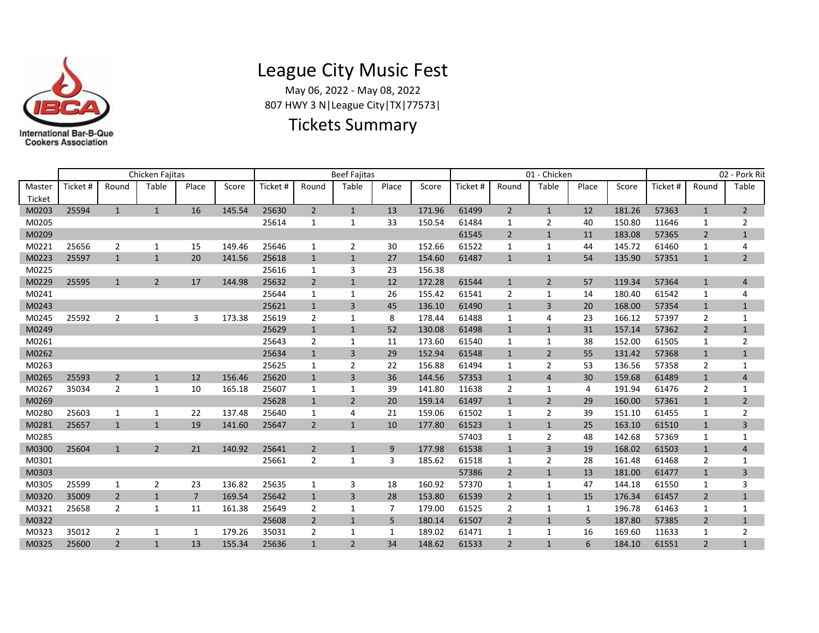

## League City Music Fest

May 06, 2022 - May 08, 2022 807 HWY 3 N|League City|TX|77573|

## Tickets Summary

|                  |          |                | Chicken Fajitas |       |        |         |                | <b>Beef Fajitas</b> |       |        |          | 01 - Chicken   |                |       |        |          | 02 - Pork Rik  |                |  |
|------------------|----------|----------------|-----------------|-------|--------|---------|----------------|---------------------|-------|--------|----------|----------------|----------------|-------|--------|----------|----------------|----------------|--|
| Master<br>Ticket | Ticket # | Round          | Table           | Place | Score  | Ticket# | Round          | Table               | Place | Score  | Ticket # | Round          | Table          | Place | Score  | Ticket # | Round          | Table          |  |
| M0203            | 25594    | $\mathbf{1}$   | $\mathbf{1}$    | 16    | 145.54 | 25630   | $\overline{2}$ | $\mathbf{1}$        | 13    | 171.96 | 61499    | $\overline{2}$ | $\mathbf{1}$   | 12    | 181.26 | 57363    | $\mathbf{1}$   | $\overline{2}$ |  |
| M0205            |          |                |                 |       |        | 25614   | 1              | 1                   | 33    | 150.54 | 61484    | 1              | 2              | 40    | 150.80 | 11646    | 1              | 2              |  |
| M0209            |          |                |                 |       |        |         |                |                     |       |        | 61545    | $\overline{2}$ | $\mathbf{1}$   | 11    | 183.08 | 57365    | $\overline{2}$ | $\mathbf{1}$   |  |
| M0221            | 25656    | 2              | 1               | 15    | 149.46 | 25646   | 1              | $\overline{2}$      | 30    | 152.66 | 61522    | 1              | 1              | 44    | 145.72 | 61460    | 1              | 4              |  |
| M0223            | 25597    | $\mathbf{1}$   | $\mathbf{1}$    | 20    | 141.56 | 25618   | $\mathbf{1}$   | $\mathbf{1}$        | 27    | 154.60 | 61487    | $\mathbf{1}$   | $\mathbf{1}$   | 54    | 135.90 | 57351    | $\mathbf{1}$   | $2^{\circ}$    |  |
| M0225            |          |                |                 |       |        | 25616   | 1              | 3                   | 23    | 156.38 |          |                |                |       |        |          |                |                |  |
| M0229            | 25595    | $\mathbf{1}$   | $\overline{2}$  | 17    | 144.98 | 25632   | $\overline{2}$ | 1                   | 12    | 172.28 | 61544    | $\mathbf{1}$   | $\overline{2}$ | 57    | 119.34 | 57364    | $\mathbf{1}$   | 4              |  |
| M0241            |          |                |                 |       |        | 25644   | 1              | 1                   | 26    | 155.42 | 61541    | $\overline{2}$ | 1              | 14    | 180.40 | 61542    | 1              | 4              |  |
| M0243            |          |                |                 |       |        | 25621   | 1              | $\overline{3}$      | 45    | 136.10 | 61490    | 1              | $\overline{3}$ | 20    | 168.00 | 57354    | $\mathbf{1}$   | $\mathbf{1}$   |  |
| M0245            | 25592    | 2              | $\mathbf{1}$    | 3     | 173.38 | 25619   | 2              | $\mathbf{1}$        | 8     | 178.44 | 61488    | 1              | $\overline{4}$ | 23    | 166.12 | 57397    | 2              | $\mathbf{1}$   |  |
| M0249            |          |                |                 |       |        | 25629   | $\mathbf{1}$   | $\mathbf{1}$        | 52    | 130.08 | 61498    | $\mathbf{1}$   | $\mathbf{1}$   | 31    | 157.14 | 57362    | $\overline{2}$ | $\mathbf{1}$   |  |
| M0261            |          |                |                 |       |        | 25643   | $\overline{2}$ | 1                   | 11    | 173.60 | 61540    | 1              | 1              | 38    | 152.00 | 61505    | 1              | 2              |  |
| M0262            |          |                |                 |       |        | 25634   | $\mathbf{1}$   | 3                   | 29    | 152.94 | 61548    | 1              | $\overline{2}$ | 55    | 131.42 | 57368    | $\mathbf{1}$   | $\mathbf{1}$   |  |
| M0263            |          |                |                 |       |        | 25625   | 1              | 2                   | 22    | 156.88 | 61494    | 1              | $\overline{2}$ | 53    | 136.56 | 57358    | $\overline{2}$ | $\mathbf{1}$   |  |
| M0265            | 25593    | $\overline{2}$ | 1               | 12    | 156.46 | 25620   | 1              | 3                   | 36    | 144.56 | 57353    | 1              | $\overline{4}$ | 30    | 159.68 | 61489    | 1              | 4              |  |
| M0267            | 35034    | $\overline{2}$ | 1               | 10    | 165.18 | 25607   | 1              | 1                   | 39    | 141.80 | 11638    | 2              | 1              | 4     | 191.94 | 61476    | 2              | 1              |  |
| M0269            |          |                |                 |       |        | 25628   | $\mathbf{1}$   | 2                   | 20    | 159.14 | 61497    | 1              | $\overline{2}$ | 29    | 160.00 | 57361    | $\mathbf{1}$   | $\overline{2}$ |  |
| M0280            | 25603    | 1              | 1               | 22    | 137.48 | 25640   | 1              | 4                   | 21    | 159.06 | 61502    | 1              | 2              | 39    | 151.10 | 61455    | 1              | 2              |  |
| M0281            | 25657    | $\mathbf{1}$   | $\mathbf{1}$    | 19    | 141.60 | 25647   | $\overline{2}$ | $\mathbf{1}$        | 10    | 177.80 | 61523    | $\mathbf{1}$   | $\mathbf{1}$   | 25    | 163.10 | 61510    | $\mathbf{1}$   | 3              |  |
| M0285            |          |                |                 |       |        |         |                |                     |       |        | 57403    | 1              | 2              | 48    | 142.68 | 57369    | 1              | $\mathbf{1}$   |  |
| M0300            | 25604    | $\mathbf{1}$   | $\overline{2}$  | 21    | 140.92 | 25641   | $\overline{2}$ | $\mathbf{1}$        | 9     | 177.98 | 61538    | $\mathbf{1}$   | 3              | 19    | 168.02 | 61503    | $\mathbf{1}$   | 4              |  |
| M0301            |          |                |                 |       |        | 25661   | 2              | 1                   | 3     | 185.62 | 61518    | 1              | $\overline{2}$ | 28    | 161.48 | 61468    | $\overline{2}$ | $\mathbf{1}$   |  |
| M0303            |          |                |                 |       |        |         |                |                     |       |        | 57386    | $\overline{2}$ | $\mathbf{1}$   | 13    | 181.00 | 61477    | $\mathbf{1}$   | 3              |  |
| M0305            | 25599    | 1              | 2               | 23    | 136.82 | 25635   | 1              | 3                   | 18    | 160.92 | 57370    | 1              | 1              | 47    | 144.18 | 61550    | 1              | 3              |  |
| M0320            | 35009    | $\overline{2}$ | $\mathbf{1}$    | 7     | 169.54 | 25642   | $\mathbf{1}$   | 3                   | 28    | 153.80 | 61539    | $\overline{2}$ | $\mathbf{1}$   | 15    | 176.34 | 61457    | $\overline{2}$ | $\mathbf{1}$   |  |
| M0321            | 25658    | 2              | 1               | 11    | 161.38 | 25649   | 2              | 1                   | 7     | 179.00 | 61525    | 2              | 1              | 1     | 196.78 | 61463    | 1              | $\mathbf{1}$   |  |
| M0322            |          |                |                 |       |        | 25608   | $\overline{2}$ | 1                   | 5     | 180.14 | 61507    | $\overline{2}$ | $\mathbf{1}$   | 5     | 187.80 | 57385    | $\overline{2}$ | $\mathbf{1}$   |  |
| M0323            | 35012    | 2              | 1               | 1     | 179.26 | 35031   | $\overline{2}$ | 1                   | 1     | 189.02 | 61471    | 1              | 1              | 16    | 169.60 | 11633    | 1              | 2              |  |
| M0325            | 25600    | $\overline{2}$ | $\mathbf{1}$    | 13    | 155.34 | 25636   | $\mathbf{1}$   | $\overline{2}$      | 34    | 148.62 | 61533    | $\overline{2}$ | $\mathbf{1}$   | 6     | 184.10 | 61551    | $\overline{2}$ | $\mathbf{1}$   |  |